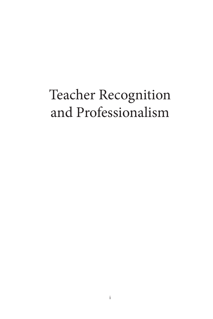## Teacher Recognition and Professionalism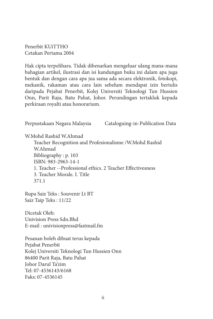Penerbit KUiTTHO Cetakan Pertama 2004

Hak cipta terpelihara. Tidak dibenarkan mengeluar ulang mana-mana bahagian artikel, ilustrasi dan isi kandungan buku ini dalam apa juga bentuk dan dengan cara apa jua sama ada secara elektronik, fotokopi, mekanik, rakaman atau cara lain sebelum mendapat izin bertulis daripada Pejabat Penerbit, Kolej Universiti Teknologi Tun Hussien Onn, Parit Raja, Batu Pahat, Johor. Perundingan tertakluk kepada perkiraan royalti atau honorarium.

Perpustakaan Negara Malaysia Cataloguing-in-Publication Data W.Mohd Rashid W.Ahmad Teacher Recognition and Profesionalisme /W.Mohd Rashid W.Ahmad Bibliography : p. 103 ISBN: 983-2963-14-1 1. Teacher --Professional ethics. 2 Teacher Effectivesness 3. Teacher Morale. I. Title 371.1 Rupa Saiz Teks : Souvenir Lt BT Saiz Taip Teks : 11/22 Dicetak Oleh: Univision Press Sdn.Bhd E-mail : univisionpress@fastmail.fm Pesanan boleh dibuat terus kepada Pejabat Penerbit Kolej Universiti Teknologi Tun Hussien Onn

86400 Parit Raja, Batu Pahat Johor Darul Ta'zim Tel: 07-4536143/6168 Faks: 07-4536145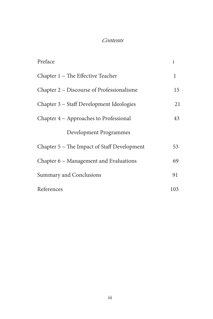## Contents

| Preface                                          | i   |
|--------------------------------------------------|-----|
| Chapter $1 \sim$ The Effective Teacher           | 1   |
| Chapter $2 \sim$ Discourse of Professionalisme   | 15  |
| Chapter $3 \sim$ Staff Development Ideologies    | 21  |
| Chapter $4 \sim$ Approaches to Professional      | 43  |
| <b>Development Programmes</b>                    |     |
| Chapter $5 \sim$ The Impact of Staff Development | 53  |
| Chapter $6 \sim$ Management and Evaluations      | 69  |
| Summary and Conclusions                          | 91  |
| References                                       | 103 |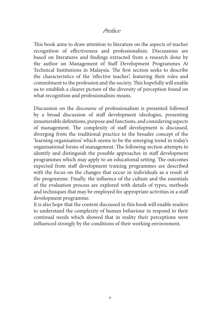## Preface

This book aims to draw attention to literature on the aspects of teacher recognition of effectiveness and professionalism. Discussions are based on literatures and findings extracted from a research done by the author on Management of Staff Development Programmes At Technical Institutions in Malaysia. The first section seeks to describe the characteristics of the 'effective teacher', featuring their roles and commitment to the profession and the society. This hopefully will enable us to establish a clearer picture of the diversity of perception found on what recognition and professionalism means.

Discussion on the discourse of professionalism is presented followed by a broad discussion of staff development ideologies, presenting innumerable definitions, purpose and functions, and considering aspects of management. The complexity of staff development is discussed, diverging from the traditional practice to the broader concept of the 'learning organisation' which seems to be the emerging trend in today's organisational forms of management. The following section attempts to identify and distinguish the possible approaches in staff development programmes which may apply to an educational setting. The outcomes expected from staff development training programmes are described with the focus on the changes that occur in individuals as a result of the programme. Finally. the influence of the culture and the essentials of the evaluation process are explored with details of types, methods and techniques that may be employed for appropriate activities in a staff development programme.

It is also hope that the content discussed in this book will enable readers to understand the complexity of human behaviour in respond to their continual needs which showed that in reality their perceptions were influenced strongly by the conditions of their working environment.